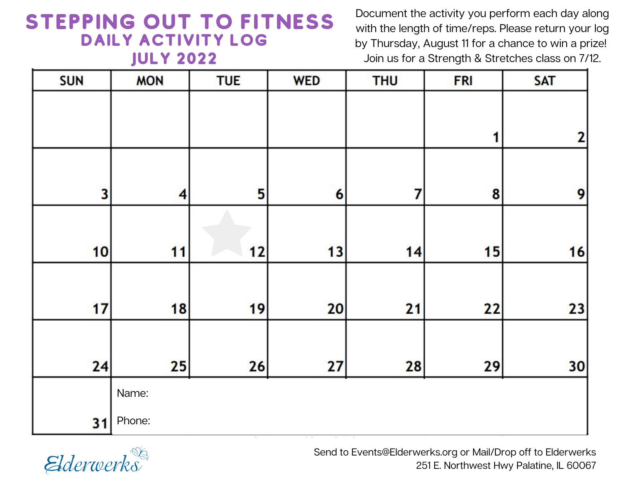## STEPPING OUT TO FITNESS DAILY ACTIVITY LOG July 2022

Document the activity you perform each day along with the length of time/reps. Please return your log by Thursday, August 11 for a chance to win a prize! Join us for a Strength & Stretches class on 7/12.

| <b>SUN</b> | <b>MON</b>              | <b>TUE</b> | <b>WED</b> | <b>THU</b> | <b>FRI</b>       | <b>SAT</b>     |
|------------|-------------------------|------------|------------|------------|------------------|----------------|
|            |                         |            |            |            |                  |                |
|            |                         |            |            |            | 1                | $\overline{2}$ |
|            |                         |            |            |            |                  |                |
| 3          | $\overline{\mathbf{4}}$ | 5          | 6          | 7          | $\boldsymbol{8}$ | 9              |
|            |                         |            |            |            |                  |                |
| 10         | 11                      | 12         | 13         | 14         | 15               | 16             |
|            |                         |            |            |            |                  |                |
| 17         | 18                      | 19         | 20         | 21         | 22               | 23             |
|            |                         |            |            |            |                  |                |
| 24         | 25                      | 26         | 27         | 28         | 29               | 30             |
|            | Name:                   |            |            |            |                  |                |
| 31         | Phone:                  |            |            |            |                  |                |



Send to Events@Elderwerks.org or Mail/Drop off to Elderwerks 251 E. Northwest Hwy Palatine, IL 60067